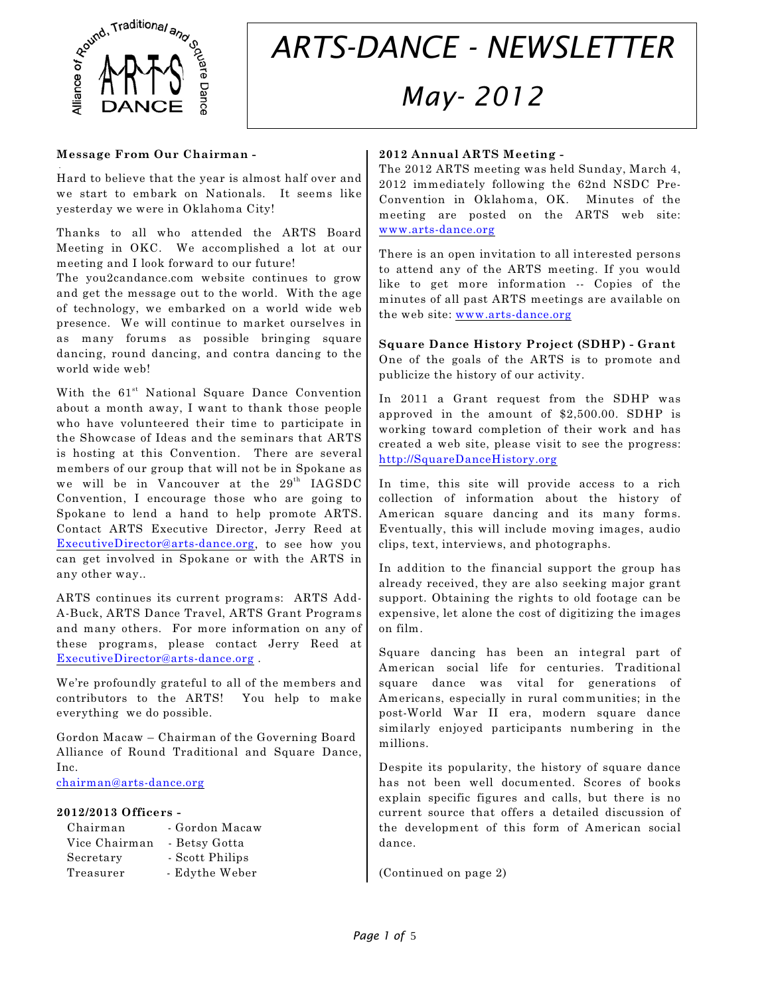

.

# *ARTS-DANCE - NEWSLETTER May- 2012*

#### **Message From Our Chairman -**

Hard to believe that the year is almost half over and we start to embark on Nationals. It seems like yesterday we were in Oklahoma City!

Thanks to all who attended the ARTS Board Meeting in OKC. We accomplished a lot at our meeting and I look forward to our future!

The you2candance.com website continues to grow and get the message out to the world. With the age of technology, we embarked on a world wide web presence. We will continue to market ourselves in as many forums as possible bringing square dancing, round dancing, and contra dancing to the world wide web!

With the 61<sup>st</sup> National Square Dance Convention about a month away, I want to thank those people who have volunteered their time to participate in the Showcase of Ideas and the seminars that ARTS is hosting at this Convention. There are several members of our group that will not be in Spokane as we will be in Vancouver at the  $29<sup>th</sup>$  IAGSDC Convention, I encourage those who are going to Spokane to lend a hand to help promote ARTS. Contact ARTS Executive Director, Jerry Reed at [ExecutiveDirector@arts-dance.org](mailto:ExecutiveDirector@arts-dance.org), to see how you can get involved in Spokane or with the ARTS in any other way..

ARTS continues its current programs: ARTS Add-A-Buck, ARTS Dance Travel, ARTS Grant Programs and many others. For more information on any of these programs, please contact Jerry Reed at [ExecutiveDirector@arts-dance.org](mailto:ExecutiveDirector@arts-dance.org) .

We're profoundly grateful to all of the members and contributors to the ARTS! You help to make everything we do possible.

Gordon Macaw – Chairman of the Governing Board Alliance of Round Traditional and Square Dance, Inc.

[chairman@arts-dance.org](mailto:chairman@arts-dance.org)

#### **2012/2013 Officers -**

| Chairman      | - Gordon Macaw  |
|---------------|-----------------|
| Vice Chairman | - Betsy Gotta   |
| Secretary     | - Scott Philips |
| Treasurer     | - Edythe Weber  |
|               |                 |

#### **2012 Annual ARTS Meeting -**

The 2012 ARTS meeting was held Sunday, March 4, 2012 immediately following the 62nd NSDC Pre-Convention in Oklahoma, OK. Minutes of the meeting are posted on the ARTS web site: [www.arts-dance.org](http://www.arts-dance.org)

There is an open invitation to all interested persons to attend any of the ARTS meeting. If you would like to get more information -- Copies of the minutes of all past ARTS meetings are available on the web site: [www.arts-dance.org](http://www.arts-dance.org)

**Square Dance History Project (SDHP) - Grant**  One of the goals of the ARTS is to promote and publicize the history of our activity.

In 2011 a Grant request from the SDHP was approved in the amount of \$2,500.00. SDHP is working toward completion of their work and has created a web site, please visit to see the progress: <http://SquareDanceHistory.org>

In time, this site will provide access to a rich collection of information about the history of American square dancing and its many forms. Eventually, this will include moving images, audio clips, text, interviews, and photographs.

In addition to the financial support the group has already received, they are also seeking major grant support. Obtaining the rights to old footage can be expensive, let alone the cost of digitizing the images on film.

Square dancing has been an integral part of American social life for centuries. Traditional square dance was vital for generations of Americans, especially in rural communities; in the post-World War II era, modern square dance similarly enjoyed participants numbering in the millions.

Despite its popularity, the history of square dance has not been well documented. Scores of books explain specific figures and calls, but there is no current source that offers a detailed discussion of the development of this form of American social dance.

(Continued on page 2)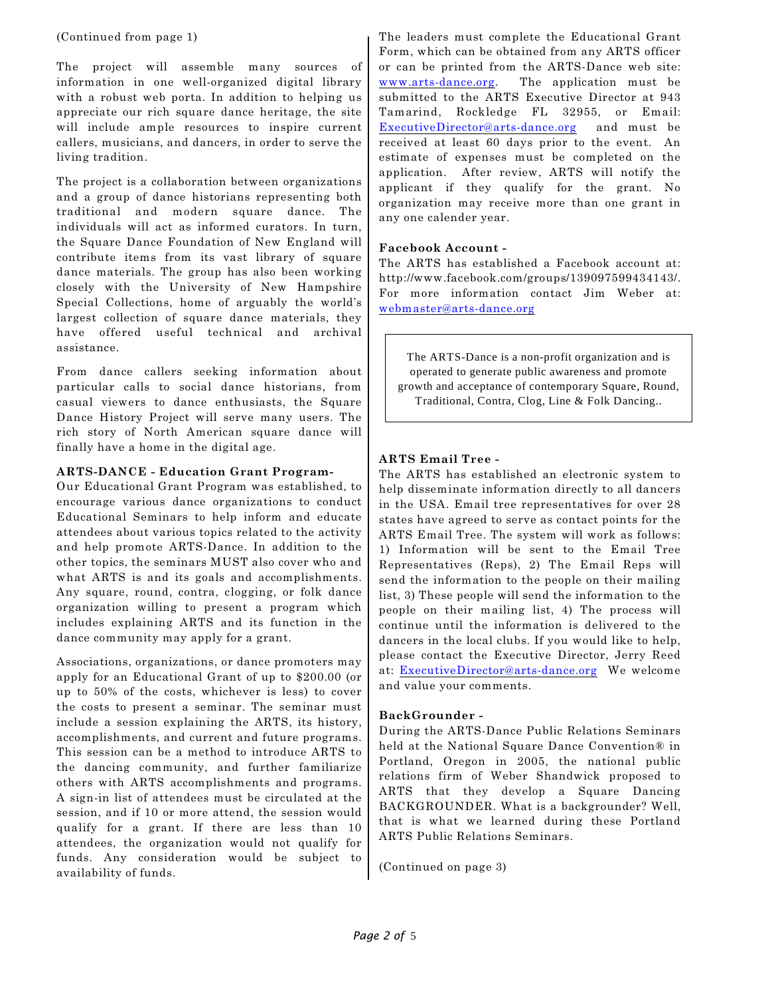#### (Continued from page 1)

The project will assemble many sources of information in one well-organized digital library with a robust web porta. In addition to helping us appreciate our rich square dance heritage, the site will include ample resources to inspire current callers, musicians, and dancers, in order to serve the living tradition.

The project is a collaboration between organizations and a group of dance historians representing both traditional and modern square dance. The individuals will act as informed curators. In turn, the Square Dance Foundation of New England will contribute items from its vast library of square dance materials. The group has also been working closely with the University of New Hampshire Special Collections, home of arguably the world's largest collection of square dance materials, they have offered useful technical and archival assistance.

From dance callers seeking information about particular calls to social dance historians, from casual viewers to dance enthusiasts, the Square Dance History Project will serve many users. The rich story of North American square dance will finally have a home in the digital age.

#### **ARTS-DANCE - Education Grant Program-**

Our Educational Grant Program was established, to encourage various dance organizations to conduct Educational Seminars to help inform and educate attendees about various topics related to the activity and help promote ARTS-Dance. In addition to the other topics, the seminars MUST also cover who and what ARTS is and its goals and accomplishments. Any square, round, contra, clogging, or folk dance organization willing to present a program which includes explaining ARTS and its function in the dance community may apply for a grant.

Associations, organizations, or dance promoters may apply for an Educational Grant of up to \$200.00 (or up to 50% of the costs, whichever is less) to cover the costs to present a seminar. The seminar must include a session explaining the ARTS, its history, accomplishments, and current and future programs. This session can be a method to introduce ARTS to the dancing community, and further familiarize others with ARTS accomplishments and programs. A sign-in list of attendees must be circulated at the session, and if 10 or more attend, the session would qualify for a grant. If there are less than 10 attendees, the organization would not qualify for funds. Any consideration would be subject to availability of funds.

The leaders must complete the Educational Grant Form, which can be obtained from any ARTS officer or can be printed from the ARTS-Dance web site: [www.arts-dance.org](http://www.arts-dance.org). The application must be submitted to the ARTS Executive Director at 943 Tamarind, Rockledge FL 32955, or Email: [ExecutiveDirector@arts-dance.org](mailto:ExecutiveDirector@arts-dance.org) and must be received at least 60 days prior to the event. An estimate of expenses must be completed on the application. After review, ARTS will notify the applicant if they qualify for the grant. No organization may receive more than one grant in any one calender year.

#### **Facebook Account -**

The ARTS has established a Facebook account at: http://www.facebook.com/groups/139097599434143/. For more information contact Jim Weber at: [webmaster@arts-dance.org](mailto:webmaster@arts-dance.org)

The ARTS-Dance is a non-profit organization and is operated to generate public awareness and promote growth and acceptance of contemporary Square, Round, Traditional, Contra, Clog, Line & Folk Dancing..

#### **ARTS Email Tree -**

The ARTS has established an electronic system to help disseminate information directly to all dancers in the USA. Email tree representatives for over 28 states have agreed to serve as contact points for the ARTS Email Tree. The system will work as follows: 1) Information will be sent to the Email Tree Representatives (Reps), 2) The Email Reps will send the information to the people on their mailing list, 3) These people will send the information to the people on their mailing list, 4) The process will continue until the information is delivered to the dancers in the local clubs. If you would like to help, please contact the Executive Director, Jerry Reed at: [ExecutiveDirector@arts-dance.org](mailto:ExecutiveDirector@arts-dance.org) We welcome and value your comments.

#### **BackGrounder -**

During the ARTS-Dance Public Relations Seminars held at the National Square Dance Convention® in Portland, Oregon in 2005, the national public relations firm of Weber Shandwick proposed to ARTS that they develop a Square Dancing BACKGROUNDER. What is a backgrounder? Well, that is what we learned during these Portland ARTS Public Relations Seminars.

(Continued on page 3)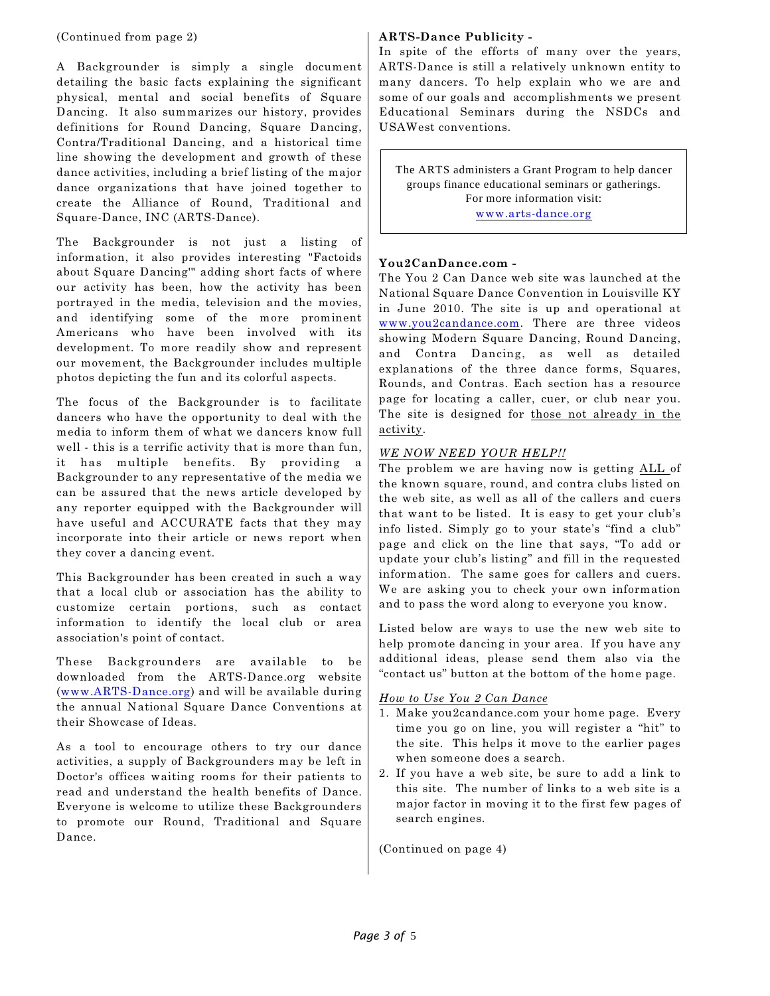(Continued from page 2)

A Backgrounder is simply a single document detailing the basic facts explaining the significant physical, mental and social benefits of Square Dancing. It also summarizes our history, provides definitions for Round Dancing, Square Dancing, Contra/Traditional Dancing, and a historical time line showing the development and growth of these dance activities, including a brief listing of the major dance organizations that have joined together to create the Alliance of Round, Traditional and Square-Dance, INC (ARTS-Dance).

The Backgrounder is not just a listing of information, it also provides interesting "Factoids about Square Dancing'" adding short facts of where our activity has been, how the activity has been portrayed in the media, television and the movies, and identifying some of the more prominent Americans who have been involved with its development. To more readily show and represent our movement, the Backgrounder includes multiple photos depicting the fun and its colorful aspects.

The focus of the Backgrounder is to facilitate dancers who have the opportunity to deal with the media to inform them of what we dancers know full well - this is a terrific activity that is more than fun, it has multiple benefits. By providing a Backgrounder to any representative of the media we can be assured that the news article developed by any reporter equipped with the Backgrounder will have useful and ACCURATE facts that they may incorporate into their article or news report when they cover a dancing event.

This Backgrounder has been created in such a way that a local club or association has the ability to customize certain portions, such as contact information to identify the local club or area association's point of contact.

These Backgrounders are available to be downloaded from the ARTS-Dance.org website ([www.ARTS-Dance.org](http://www.ARTS-Dance.org))) and will be available during the annual National Square Dance Conventions at their Showcase of Ideas.

As a tool to encourage others to try our dance activities, a supply of Backgrounders may be left in Doctor's offices waiting rooms for their patients to read and understand the health benefits of Dance. Everyone is welcome to utilize these Backgrounders to promote our Round, Traditional and Square Dance.

### **ARTS-Dance Publicity -**

In spite of the efforts of many over the years, ARTS-Dance is still a relatively unknown entity to many dancers. To help explain who we are and some of our goals and accomplishments we present Educational Seminars during the NSDCs and USAWest conventions.

The ARTS administers a Grant Program to help dancer groups finance educational seminars or gatherings. For more information visit: [www.arts-dance.org](http://www.arts-dance.org)

# **You2CanDance.com -**

The You 2 Can Dance web site was launched at the National Square Dance Convention in Louisville KY in June 2010. The site is up and operational at [www.you2candance.com](http://www.you2candance.com). There are three videos showing Modern Square Dancing, Round Dancing, and Contra Dancing, as well as detailed explanations of the three dance forms, Squares, Rounds, and Contras. Each section has a resource page for locating a caller, cuer, or club near you. The site is designed for those not already in the activity.

# *WE NOW NEED YOUR HELP!!*

The problem we are having now is getting ALL of the known square, round, and contra clubs listed on the web site, as well as all of the callers and cuers that want to be listed. It is easy to get your club's info listed. Simply go to your state's "find a club" page and click on the line that says, "To add or update your club's listing" and fill in the requested information. The same goes for callers and cuers. We are asking you to check your own information and to pass the word along to everyone you know.

Listed below are ways to use the new web site to help promote dancing in your area. If you have any additional ideas, please send them also via the "contact us" button at the bottom of the home page.

#### *How to Use You 2 Can Dance*

- 1. Make you2candance.com your home page. Every time you go on line, you will register a "hit" to the site. This helps it move to the earlier pages when someone does a search.
- 2. If you have a web site, be sure to add a link to this site. The number of links to a web site is a major factor in moving it to the first few pages of search engines.

(Continued on page 4)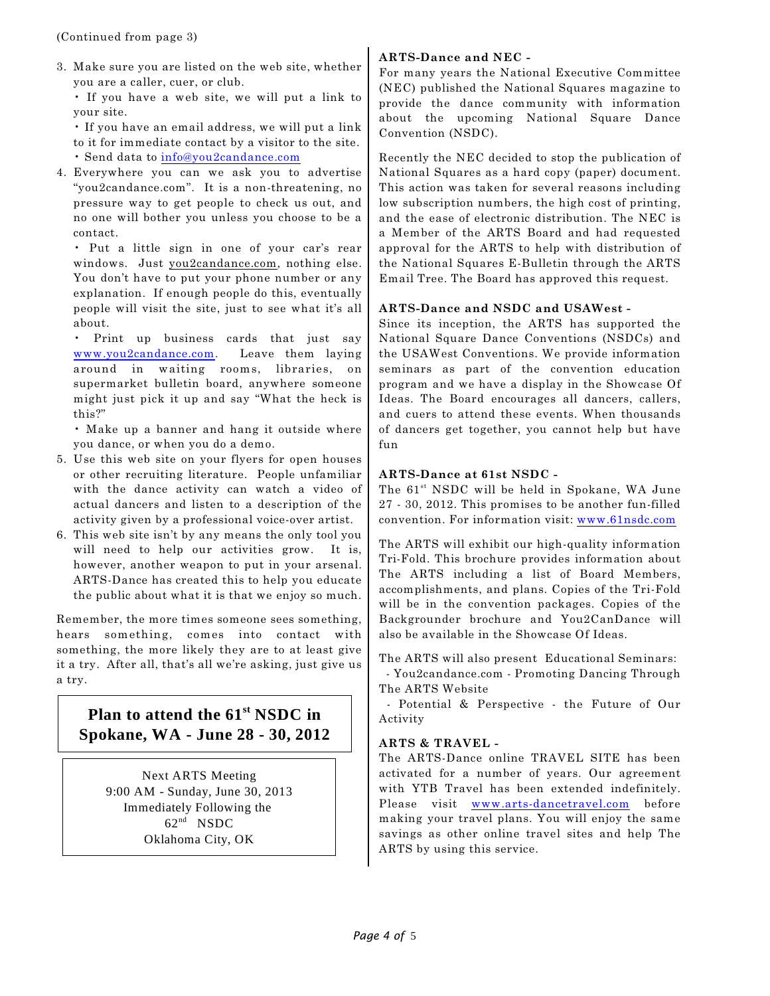3. Make sure you are listed on the web site, whether you are a caller, cuer, or club.

• If you have a web site, we will put a link to your site.

• If you have an email address, we will put a link to it for immediate contact by a visitor to the site. • Send data to [info@you2candance.com](mailto:info@you2candance.com)

4. Everywhere you can we ask you to advertise "you2candance.com". It is a non-threatening, no pressure way to get people to check us out, and no one will bother you unless you choose to be a contact.

• Put a little sign in one of your car's rear windows. Just you2candance.com, nothing else. You don't have to put your phone number or any explanation. If enough people do this, eventually people will visit the site, just to see what it's all about.

• Print up business cards that just say [www.you2candance.com](http://www.you2candance.com). Leave them laying around in waiting rooms, libraries, on supermarket bulletin board, anywhere someone might just pick it up and say "What the heck is this?"

• Make up a banner and hang it outside where you dance, or when you do a demo.

- 5. Use this web site on your flyers for open houses or other recruiting literature. People unfamiliar with the dance activity can watch a video of actual dancers and listen to a description of the activity given by a professional voice-over artist.
- 6. This web site isn't by any means the only tool you will need to help our activities grow. It is, however, another weapon to put in your arsenal. ARTS-Dance has created this to help you educate the public about what it is that we enjoy so much.

Remember, the more times someone sees something, hears something, comes into contact with something, the more likely they are to at least give it a try. After all, that's all we're asking, just give us a try.

# **Plan to attend the 61<sup>st</sup> NSDC in Spokane, WA - June 28 - 30, 2012**

Next ARTS Meeting 9:00 AM - Sunday, June 30, 2013 Immediately Following the  $62<sup>nd</sup>$  NSDC Oklahoma City, OK

# **ARTS-Dance and NEC -**

For many years the National Executive Committee (NEC) published the National Squares magazine to provide the dance community with information about the upcoming National Square Dance Convention (NSDC).

Recently the NEC decided to stop the publication of National Squares as a hard copy (paper) document. This action was taken for several reasons including low subscription numbers, the high cost of printing, and the ease of electronic distribution. The NEC is a Member of the ARTS Board and had requested approval for the ARTS to help with distribution of the National Squares E-Bulletin through the ARTS Email Tree. The Board has approved this request.

### **ARTS-Dance and NSDC and USAWest -**

Since its inception, the ARTS has supported the National Square Dance Conventions (NSDCs) and the USAWest Conventions. We provide information seminars as part of the convention education program and we have a display in the Showcase Of Ideas. The Board encourages all dancers, callers, and cuers to attend these events. When thousands of dancers get together, you cannot help but have fun

### **ARTS-Dance at 61st NSDC -**

The 61<sup>st</sup> NSDC will be held in Spokane, WA June 27 - 30, 2012. This promises to be another fun-filled convention. For information visit: [www.61nsdc.com](http://www.59nsdc.com)

The ARTS will exhibit our high-quality information Tri-Fold. This brochure provides information about The ARTS including a list of Board Members, accomplishments, and plans. Copies of the Tri-Fold will be in the convention packages. Copies of the Backgrounder brochure and You2CanDance will also be available in the Showcase Of Ideas.

The ARTS will also present Educational Seminars: - You2candance.com - Promoting Dancing Through

The ARTS Website

 - Potential & Perspective - the Future of Our Activity

# **ARTS & TRAVEL -**

The ARTS-Dance online TRAVEL SITE has been activated for a number of years. Our agreement with YTB Travel has been extended indefinitely. Please visit [www.arts-dancetravel.com](http://www.arts-dancetravel.com) before making your travel plans. You will enjoy the same savings as other online travel sites and help The ARTS by using this service.